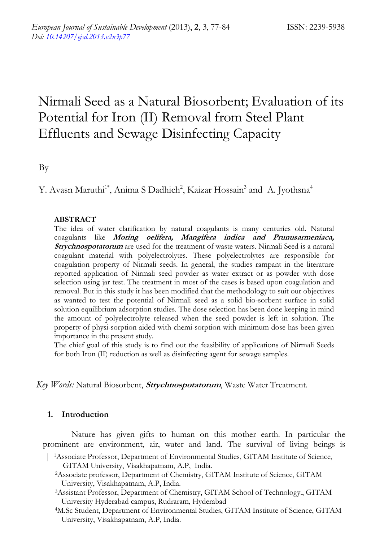# Nirmali Seed as a Natural Biosorbent; Evaluation of its Potential for Iron (II) Removal from Steel Plant Effluents and Sewage Disinfecting Capacity

By

Y. Avasn Maruthi<sup>1\*</sup>, Anima S Dadhich<sup>2</sup>, Kaizar Hossain<sup>3</sup> and A. Jyothsna<sup>4</sup>

# **ABSTRACT**

The idea of water clarification by natural coagulants is many centuries old. Natural coagulants like **Moring oelifera, Mangifera indica and Prunusarmeniaca, Strychnospotatorum** are used for the treatment of waste waters. Nirmali Seed is a natural coagulant material with polyelectrolytes. These polyelectrolytes are responsible for coagulation property of Nirmali seeds. In general, the studies rampant in the literature reported application of Nirmali seed powder as water extract or as powder with dose selection using jar test. The treatment in most of the cases is based upon coagulation and removal. But in this study it has been modified that the methodology to suit our objectives as wanted to test the potential of Nirmali seed as a solid bio-sorbent surface in solid solution equilibrium adsorption studies. The dose selection has been done keeping in mind the amount of polyelectrolyte released when the seed powder is left in solution. The property of physi-sorption aided with chemi-sorption with minimum dose has been given importance in the present study.

The chief goal of this study is to find out the feasibility of applications of Nirmali Seeds for both Iron (II) reduction as well as disinfecting agent for sewage samples.

 *Key Words:* Natural Biosorbent, **Strychnospotatorum**, Waste Water Treatment.

# **1. Introduction**

Nature has given gifts to human on this mother earth. In particular the prominent are environment, air, water and land. The survival of living beings is

- | 1Associate Professor, Department of Environmental Studies, GITAM Institute of Science, GITAM University, Visakhapatnam, A.P, India.
	- 2Associate professor, Department of Chemistry, GITAM Institute of Science, GITAM University, Visakhapatnam, A.P, India.
	- 3Assistant Professor, Department of Chemistry, GITAM School of Technology., GITAM University Hyderabad campus, Rudraram, Hyderabad 4M.Sc Student, Department of Environmental Studies, GITAM Institute of Science, GITAM
	- University, Visakhapatnam, A.P, India.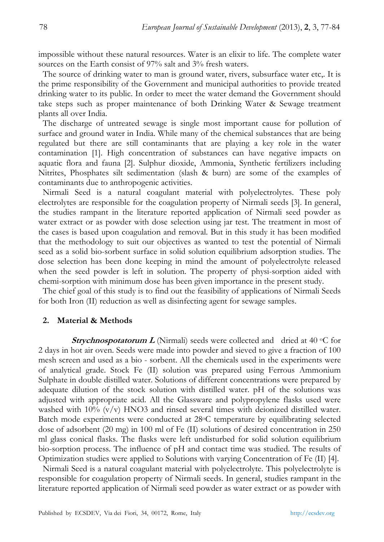impossible without these natural resources. Water is an elixir to life. The complete water sources on the Earth consist of 97% salt and 3% fresh waters.

The source of drinking water to man is ground water, rivers, subsurface water etc,. It is the prime responsibility of the Government and municipal authorities to provide treated drinking water to its public. In order to meet the water demand the Government should take steps such as proper maintenance of both Drinking Water & Sewage treatment plants all over India.

The discharge of untreated sewage is single most important cause for pollution of surface and ground water in India. While many of the chemical substances that are being regulated but there are still contaminants that are playing a key role in the water contamination [1]. High concentration of substances can have negative impacts on aquatic flora and fauna [2]. Sulphur dioxide, Ammonia, Synthetic fertilizers including Nitrites, Phosphates silt sedimentation (slash & burn) are some of the examples of contaminants due to anthropogenic activities.

Nirmali Seed is a natural coagulant material with polyelectrolytes. These poly electrolytes are responsible for the coagulation property of Nirmali seeds [3]. In general, the studies rampant in the literature reported application of Nirmali seed powder as water extract or as powder with dose selection using jar test. The treatment in most of the cases is based upon coagulation and removal. But in this study it has been modified that the methodology to suit our objectives as wanted to test the potential of Nirmali seed as a solid bio-sorbent surface in solid solution equilibrium adsorption studies. The dose selection has been done keeping in mind the amount of polyelectrolyte released when the seed powder is left in solution. The property of physi-sorption aided with chemi-sorption with minimum dose has been given importance in the present study.

The chief goal of this study is to find out the feasibility of applications of Nirmali Seeds for both Iron (II) reduction as well as disinfecting agent for sewage samples.

## **2. Material & Methods**

**Strychnospotatorum L** (Nirmali) seeds were collected and dried at 40 °C for 2 days in hot air oven. Seeds were made into powder and sieved to give a fraction of 100 mesh screen and used as a bio - sorbent. All the chemicals used in the experiments were of analytical grade. Stock Fe (II) solution was prepared using Ferrous Ammonium Sulphate in double distilled water. Solutions of different concentrations were prepared by adequate dilution of the stock solution with distilled water. pH of the solutions was adjusted with appropriate acid. All the Glassware and polypropylene flasks used were washed with  $10\%$  (v/v) HNO3 and rinsed several times with deionized distilled water. Batch mode experiments were conducted at 28°C temperature by equilibrating selected dose of adsorbent (20 mg) in 100 ml of Fe (II) solutions of desired concentration in 250 ml glass conical flasks. The flasks were left undisturbed for solid solution equilibrium bio-sorption process. The influence of pH and contact time was studied. The results of Optimization studies were applied to Solutions with varying Concentration of Fe (II) [4].

Nirmali Seed is a natural coagulant material with polyelectrolyte. This polyelectrolyte is responsible for coagulation property of Nirmali seeds. In general, studies rampant in the literature reported application of Nirmali seed powder as water extract or as powder with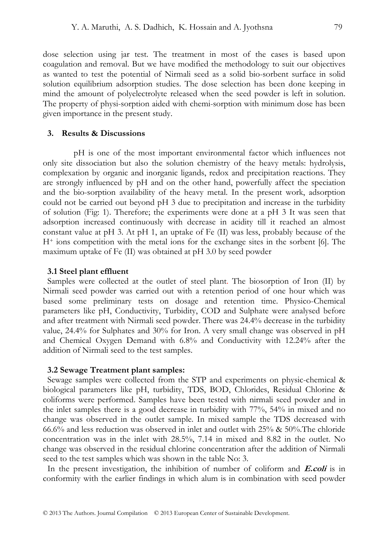dose selection using jar test. The treatment in most of the cases is based upon coagulation and removal. But we have modified the methodology to suit our objectives as wanted to test the potential of Nirmali seed as a solid bio-sorbent surface in solid solution equilibrium adsorption studies. The dose selection has been done keeping in mind the amount of polyelectrolyte released when the seed powder is left in solution. The property of physi-sorption aided with chemi-sorption with minimum dose has been given importance in the present study.

#### **3. Results & Discussions**

 pH is one of the most important environmental factor which influences not only site dissociation but also the solution chemistry of the heavy metals: hydrolysis, complexation by organic and inorganic ligands, redox and precipitation reactions. They are strongly influenced by pH and on the other hand, powerfully affect the speciation and the bio-sorption availability of the heavy metal. In the present work, adsorption could not be carried out beyond pH 3 due to precipitation and increase in the turbidity of solution (Fig: 1). Therefore; the experiments were done at a pH 3 It was seen that adsorption increased continuously with decrease in acidity till it reached an almost constant value at pH 3. At pH 1, an uptake of Fe (II) was less, probably because of the H+ ions competition with the metal ions for the exchange sites in the sorbent [6]. The maximum uptake of Fe (II) was obtained at pH 3.0 by seed powder

#### **3.1 Steel plant effluent**

Samples were collected at the outlet of steel plant. The biosorption of Iron (II) by Nirmali seed powder was carried out with a retention period of one hour which was based some preliminary tests on dosage and retention time. Physico-Chemical parameters like pH, Conductivity, Turbidity, COD and Sulphate were analysed before and after treatment with Nirmali seed powder. There was 24.4% decrease in the turbidity value, 24.4% for Sulphates and 30% for Iron. A very small change was observed in pH and Chemical Oxygen Demand with 6.8% and Conductivity with 12.24% after the addition of Nirmali seed to the test samples.

#### **3.2 Sewage Treatment plant samples:**

Sewage samples were collected from the STP and experiments on physic-chemical & biological parameters like pH, turbidity, TDS, BOD, Chlorides, Residual Chlorine & coliforms were performed. Samples have been tested with nirmali seed powder and in the inlet samples there is a good decrease in turbidity with 77%, 54% in mixed and no change was observed in the outlet sample. In mixed sample the TDS decreased with 66.6% and less reduction was observed in inlet and outlet with 25% & 50%.The chloride concentration was in the inlet with 28.5%, 7.14 in mixed and 8.82 in the outlet. No change was observed in the residual chlorine concentration after the addition of Nirmali seed to the test samples which was shown in the table No: 3.

In the present investigation, the inhibition of number of coliform and **E.coli** is in conformity with the earlier findings in which alum is in combination with seed powder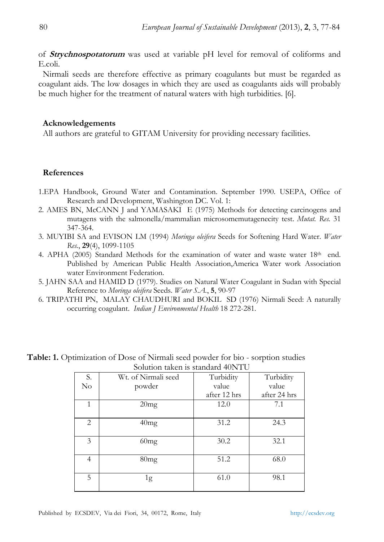of **Strychnospotatorum** was used at variable pH level for removal of coliforms and E.coli.

Nirmali seeds are therefore effective as primary coagulants but must be regarded as coagulant aids. The low dosages in which they are used as coagulants aids will probably be much higher for the treatment of natural waters with high turbidities. [6].

## **Acknowledgements**

All authors are grateful to GITAM University for providing necessary facilities.

# **References**

- 1.EPA Handbook, Ground Water and Contamination. September 1990. USEPA, Office of Research and Development, Washington DC. Vol. 1:
- 2. AMES BN, McCANN J and YAMASAKI E (1975) Methods for detecting carcinogens and mutagens with the salmonella/mammalian microsomemutagenecity test. *Mutat. Res.* 31 347-364.
- 3. MUYIBI SA and EVISON LM (1994) *Moringa oleifera* Seeds for Softening Hard Water. *Water Res.*, **29**(4), 1099-1105
- 4. APHA (2005) Standard Methods for the examination of water and waste water  $18<sup>th</sup>$  end. Published by American Public Health Association,America Water work Association water Environment Federation.
- 5. JAHN SAA and HAMID D (1979). Studies on Natural Water Coagulant in Sudan with Special Reference to *Moringa oleifera* Seeds. *Water S.A.*, **5**, 90-97
- 6. TRIPATHI PN, MALAY CHAUDHURI and BOKIL SD (1976) Nirmali Seed: A naturally occurring coagulant. *Indian J Environmental Health* 18 272-281*.*

| S.             | 00100011 <del>annon</del> 10 o <del>annon 1</del> 01 1 1 0<br>Wt. of Nirmali seed | Turbidity    | Turbidity    |  |
|----------------|-----------------------------------------------------------------------------------|--------------|--------------|--|
| $\rm No$       | powder                                                                            | value        | value        |  |
|                |                                                                                   | after 12 hrs | after 24 hrs |  |
| 1              | 20mg                                                                              | 12.0         | 7.1          |  |
| 2              | 40mg                                                                              | 31.2         | 24.3         |  |
| 3              | 60mg                                                                              | 30.2         | 32.1         |  |
| $\overline{4}$ | 80mg                                                                              | 51.2         | 68.0         |  |
| 5              | 1g                                                                                | 61.0         | 98.1         |  |

**Table: 1.** Optimization of Dose of Nirmali seed powder for bio - sorption studies Solution taken is standard 40NTU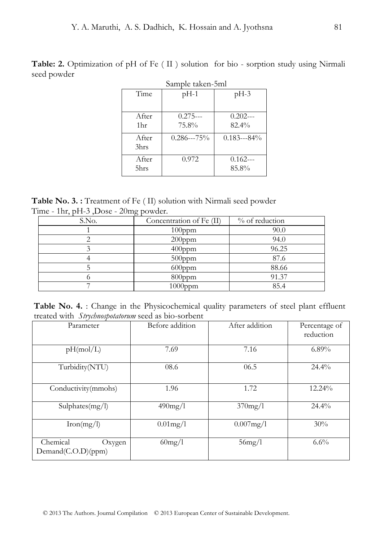**Table: 2.** Optimization of pH of Fe ( II ) solution for bio - sorption study using Nirmali seed powder

| Sample taken-5ml |                    |                    |  |  |  |  |
|------------------|--------------------|--------------------|--|--|--|--|
| Time             | $pH-1$             | $pH-3$             |  |  |  |  |
| A fter<br>1hr    | $0.275--$<br>75.8% | $0.202--$<br>82.4% |  |  |  |  |
| A fter<br>3hrs   | $0.286--75%$       | $0.183--84%$       |  |  |  |  |
| A fter<br>5hrs   | 0.972              | $0.162--$<br>85.8% |  |  |  |  |

**Table No. 3. :** Treatment of Fe ( II) solution with Nirmali seed powder Time - 1hr, pH-3 ,Dose - 20mg powder.

| S.No. | Concentration of Fe (II) | % of reduction |
|-------|--------------------------|----------------|
|       | $100$ ppm                | 90.0           |
|       | $200$ ppm                | 94.0           |
|       | 400ppm                   | 96.25          |
|       | $500$ ppm                | 87.6           |
|       | $600$ ppm                | 88.66          |
|       | 800ppm                   | 91.37          |
|       | $1000$ ppm               | 85.4           |

Table No. 4. : Change in the Physicochemical quality parameters of steel plant effluent treated with *Strychnospotatorum* seed as bio-sorbent

| Parameter                                | Before addition | After addition | Percentage of<br>reduction |  |
|------------------------------------------|-----------------|----------------|----------------------------|--|
| pH(mol/L)                                | 7.69            | 7.16           | $6.89\%$                   |  |
| Turbidity(NTU)                           | 08.6            | 06.5           | $24.4\%$                   |  |
| $\overline{\text{Conductivity}}$ (mmohs) | 1.96            | 1.72           | 12.24%                     |  |
| Sulphates(mg/l)                          | 490mg/l         | $370$ mg/l     | $24.4\%$                   |  |
| Iron(mg/l)                               | $0.01$ mg/l     | 0.007mg/1      | 30%                        |  |
| Chemical<br>Oxygen<br>Demand(C.O.D)(ppm) | $60$ mg/l       | $56$ mg/l      | $6.6\%$                    |  |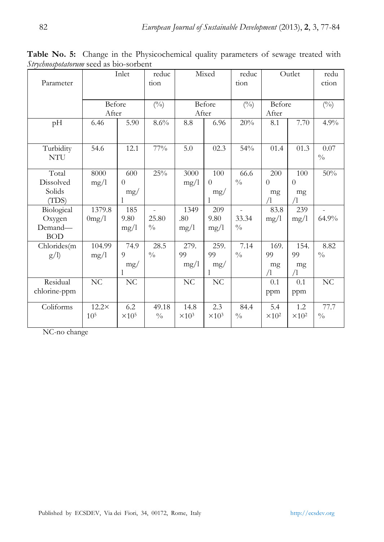| Parameter                                     |                                 | Inlet                           | reduc<br>tion          | Mixed<br>reduc<br>tion           |                                 | Outlet                 |                                 | redu<br>ction                       |                       |
|-----------------------------------------------|---------------------------------|---------------------------------|------------------------|----------------------------------|---------------------------------|------------------------|---------------------------------|-------------------------------------|-----------------------|
|                                               | Before<br>After                 |                                 | $(^{0}_{0})$           | Before<br>After                  |                                 | $(^{0}_{0})$           | Before<br>After                 |                                     | $(^{0}_{0})$          |
| pH                                            | 6.46                            | 5.90                            | $8.6\%$                | $\!\!\!\!\!8.8$                  | 6.96                            | 20%                    | 8.1                             | 7.70                                | 4.9%                  |
| Turbidity<br><b>NTU</b>                       | 54.6                            | 12.1                            | $77\%$                 | 5.0                              | 02.3                            | 54%                    | 01.4                            | 01.3                                | 0.07<br>$\frac{0}{0}$ |
| Total<br>Dissolved<br>Solids<br>(TDS)         | 8000<br>mg/1                    | 600<br>$\Omega$<br>mg/          | 25%                    | 3000<br>mg/1                     | 100<br>$\theta$<br>mg/          | 66.6<br>$\frac{0}{0}$  | 200<br>$\Omega$<br>mg<br>/1     | 100<br>$\Omega$<br>mg<br>$\sqrt{1}$ | 50%                   |
| Biological<br>Oxygen<br>Demand-<br><b>BOD</b> | 1379.8<br>0mg/l                 | 185<br>9.80<br>mg/1             | 25.80<br>$\frac{0}{0}$ | 1349<br>.80<br>mg/1              | 209<br>9.80<br>mg/1             | 33.34<br>$\frac{0}{0}$ | 83.8<br>mg/l                    | 239<br>mg/1                         | 64.9%                 |
| Chlorides(m<br>g/l                            | 104.99<br>mg/1                  | 74.9<br>$\overline{Q}$<br>mg/   | 28.5<br>$\frac{0}{0}$  | 279.<br>99<br>mg/1               | 259.<br>99<br>mg/               | 7.14<br>$\frac{0}{0}$  | 169.<br>99<br>mg<br>4           | 154.<br>99<br>mg<br>$\sqrt{1}$      | 8.82<br>$\frac{0}{0}$ |
| Residual<br>chlorine-ppm                      | NC                              | $\rm NC$                        |                        | $\rm NC$                         | $\rm NC$                        |                        | 0.1<br>ppm                      | 0.1<br>ppm                          | NC                    |
| Coliforms                                     | $12.2\times$<br>10 <sup>5</sup> | 6.2<br>$\times$ 10 <sup>5</sup> | 49.18<br>$\frac{0}{0}$ | 14.8<br>$\times$ 10 <sup>3</sup> | 2.3<br>$\times$ 10 <sup>3</sup> | 84.4<br>$\frac{0}{0}$  | 5.4<br>$\times$ 10 <sup>2</sup> | 1.2<br>$\times$ 10 <sup>2</sup>     | 77.7<br>$\frac{0}{0}$ |

**Table No. 5:** Change in the Physicochemical quality parameters of sewage treated with *Strychnospotatorum* seed as bio-sorbent

NC-no change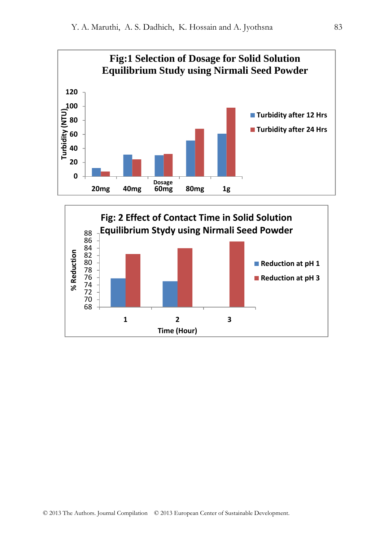